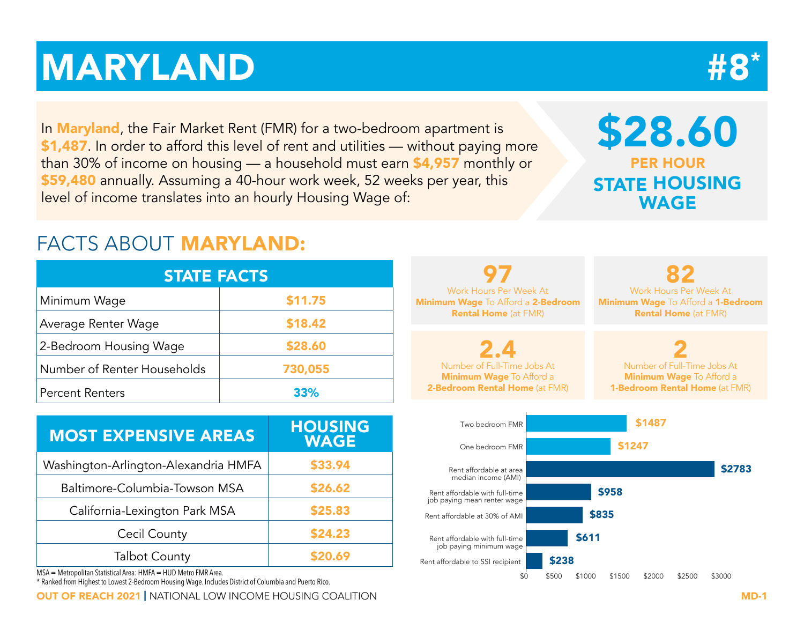# MARYLAND #8

In **Maryland**, the Fair Market Rent (FMR) for a two-bedroom apartment is \$1,487. In order to afford this level of rent and utilities — without paying more than 30% of income on housing — a household must earn \$4,957 monthly or \$59,480 annually. Assuming a 40-hour work week, 52 weeks per year, this level of income translates into an hourly Housing Wage of:

## \$28.60 PER HOUR STATE HOUSING WAGE

### FACTS ABOUT MARYLAND:

| <b>STATE FACTS</b>          |         |  |  |  |  |  |  |  |  |  |
|-----------------------------|---------|--|--|--|--|--|--|--|--|--|
| Minimum Wage                | \$11.75 |  |  |  |  |  |  |  |  |  |
| Average Renter Wage         | \$18.42 |  |  |  |  |  |  |  |  |  |
| 2-Bedroom Housing Wage      | \$28.60 |  |  |  |  |  |  |  |  |  |
| Number of Renter Households | 730,055 |  |  |  |  |  |  |  |  |  |
| <b>Percent Renters</b>      | 33%     |  |  |  |  |  |  |  |  |  |

| <b>MOST EXPENSIVE AREAS</b>          | <b>HOUSING</b><br><b>WAGE</b> |
|--------------------------------------|-------------------------------|
| Washington-Arlington-Alexandria HMFA | \$33.94                       |
| Baltimore-Columbia-Towson MSA        | \$26.62                       |
| California-Lexington Park MSA        | \$25.83                       |
| Cecil County                         | \$24.23                       |
| <b>Talbot County</b>                 | \$20.69                       |

MSA = Metropolitan Statistical Area: HMFA = HUD Metro FMR Area.

\* Ranked from Highest to Lowest 2-Bedroom Housing Wage. Includes District of Columbia and Puerto Rico.

OUT OF REACH 2021 | NATIONAL LOW INCOME HOUSING COALITION MD-1

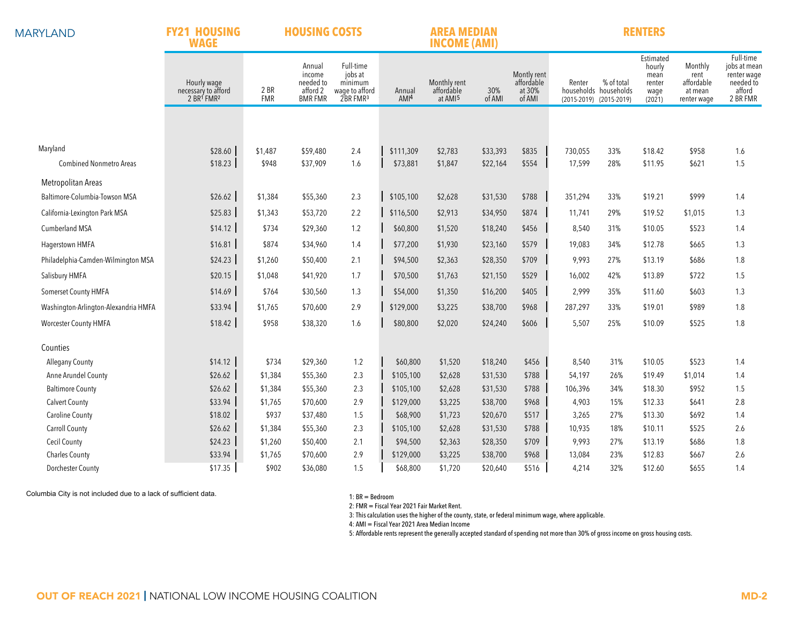| <b>MARYLAND</b> |
|-----------------|
|-----------------|

**FY21 HOUSING HOUSING COSTS**

### **AREA MEDIAN RENTERS**

|                                      | <b>INCOME (AMI)</b><br><b>WAGE</b>                                       |                    |                                                             |                                                                           |                            |                                                   |               |                                               |         |                                                                |                                                         |                                                         |                                                                             |
|--------------------------------------|--------------------------------------------------------------------------|--------------------|-------------------------------------------------------------|---------------------------------------------------------------------------|----------------------------|---------------------------------------------------|---------------|-----------------------------------------------|---------|----------------------------------------------------------------|---------------------------------------------------------|---------------------------------------------------------|-----------------------------------------------------------------------------|
|                                      | Hourly wage<br>necessary to afford<br>2 BR <sup>1</sup> FMR <sup>2</sup> | 2 BR<br><b>FMR</b> | Annual<br>income<br>needed to<br>afford 2<br><b>BMR FMR</b> | Full-time<br>jobs at<br>minimum<br>wage to afford<br>2BR FMR <sup>3</sup> | Annual<br>AMI <sup>4</sup> | Monthly rent<br>affordable<br>at AMI <sup>5</sup> | 30%<br>of AMI | Montly rent<br>affordable<br>at 30%<br>of AMI | Renter  | % of total<br>households households<br>(2015-2019) (2015-2019) | Estimated<br>hourly<br>mean<br>renter<br>wage<br>(2021) | Monthly<br>rent<br>affordable<br>at mean<br>renter wage | Full-time<br>jobs at mean<br>renter wage<br>needed to<br>afford<br>2 BR FMR |
|                                      |                                                                          |                    |                                                             |                                                                           |                            |                                                   |               |                                               |         |                                                                |                                                         |                                                         |                                                                             |
|                                      |                                                                          |                    |                                                             |                                                                           |                            |                                                   |               |                                               |         |                                                                |                                                         |                                                         |                                                                             |
| Maryland                             | \$28.60                                                                  | \$1,487            | \$59,480                                                    | 2.4                                                                       | \$111,309                  | \$2,783                                           | \$33,393      | \$835                                         | 730,055 | 33%                                                            | \$18.42                                                 | \$958                                                   | 1.6                                                                         |
| <b>Combined Nonmetro Areas</b>       | \$18.23                                                                  | \$948              | \$37,909                                                    | 1.6                                                                       | \$73,881                   | \$1,847                                           | \$22,164      | \$554                                         | 17,599  | 28%                                                            | \$11.95                                                 | \$621                                                   | 1.5                                                                         |
| Metropolitan Areas                   |                                                                          |                    |                                                             |                                                                           |                            |                                                   |               |                                               |         |                                                                |                                                         |                                                         |                                                                             |
| Baltimore-Columbia-Towson MSA        | \$26.62                                                                  | \$1,384            | \$55,360                                                    | 2.3                                                                       | \$105,100                  | \$2,628                                           | \$31,530      | \$788                                         | 351,294 | 33%                                                            | \$19.21                                                 | \$999                                                   | 1.4                                                                         |
| California-Lexington Park MSA        | \$25.83                                                                  | \$1,343            | \$53,720                                                    | 2.2                                                                       | \$116,500                  | \$2,913                                           | \$34,950      | \$874                                         | 11,741  | 29%                                                            | \$19.52                                                 | \$1,015                                                 | 1.3                                                                         |
| Cumberland MSA                       | \$14.12                                                                  | \$734              | \$29,360                                                    | 1.2                                                                       | \$60,800                   | \$1,520                                           | \$18,240      | \$456                                         | 8,540   | 31%                                                            | \$10.05                                                 | \$523                                                   | 1.4                                                                         |
| Hagerstown HMFA                      | \$16.81                                                                  | \$874              | \$34,960                                                    | 1.4                                                                       | \$77,200                   | \$1,930                                           | \$23,160      | \$579                                         | 19,083  | 34%                                                            | \$12.78                                                 | \$665                                                   | 1.3                                                                         |
| Philadelphia-Camden-Wilmington MSA   | \$24.23                                                                  | \$1,260            | \$50,400                                                    | 2.1                                                                       | \$94,500                   | \$2,363                                           | \$28,350      | \$709                                         | 9,993   | 27%                                                            | \$13.19                                                 | \$686                                                   | 1.8                                                                         |
| Salisbury HMFA                       | \$20.15                                                                  | \$1,048            | \$41,920                                                    | 1.7                                                                       | \$70,500                   | \$1,763                                           | \$21,150      | \$529                                         | 16,002  | 42%                                                            | \$13.89                                                 | \$722                                                   | 1.5                                                                         |
| Somerset County HMFA                 | \$14.69                                                                  | \$764              | \$30,560                                                    | 1.3                                                                       | \$54,000                   | \$1,350                                           | \$16,200      | \$405                                         | 2,999   | 35%                                                            | \$11.60                                                 | \$603                                                   | 1.3                                                                         |
| Washington-Arlington-Alexandria HMFA | \$33.94                                                                  | \$1,765            | \$70,600                                                    | 2.9                                                                       | \$129,000                  | \$3,225                                           | \$38,700      | \$968                                         | 287,297 | 33%                                                            | \$19.01                                                 | \$989                                                   | 1.8                                                                         |
| <b>Worcester County HMFA</b>         | \$18.42                                                                  | \$958              | \$38,320                                                    | 1.6                                                                       | \$80,800                   | \$2,020                                           | \$24,240      | \$606                                         | 5,507   | 25%                                                            | \$10.09                                                 | \$525                                                   | 1.8                                                                         |
| Counties                             |                                                                          |                    |                                                             |                                                                           |                            |                                                   |               |                                               |         |                                                                |                                                         |                                                         |                                                                             |
| <b>Allegany County</b>               | \$14.12                                                                  | \$734              | \$29,360                                                    | 1.2                                                                       | \$60,800                   | \$1,520                                           | \$18,240      | \$456                                         | 8,540   | 31%                                                            | \$10.05                                                 | \$523                                                   | 1.4                                                                         |
| Anne Arundel County                  | \$26.62                                                                  | \$1,384            | \$55,360                                                    | 2.3                                                                       | \$105,100                  | \$2,628                                           | \$31,530      | \$788                                         | 54,197  | 26%                                                            | \$19.49                                                 | \$1,014                                                 | 1.4                                                                         |
| <b>Baltimore County</b>              | \$26.62                                                                  | \$1,384            | \$55,360                                                    | 2.3                                                                       | \$105,100                  | \$2,628                                           | \$31,530      | \$788                                         | 106,396 | 34%                                                            | \$18.30                                                 | \$952                                                   | 1.5                                                                         |
| <b>Calvert County</b>                | \$33.94                                                                  | \$1,765            | \$70,600                                                    | 2.9                                                                       | \$129,000                  | \$3,225                                           | \$38,700      | \$968                                         | 4,903   | 15%                                                            | \$12.33                                                 | \$641                                                   | 2.8                                                                         |
| <b>Caroline County</b>               | \$18.02                                                                  | \$937              | \$37,480                                                    | 1.5                                                                       | \$68,900                   | \$1,723                                           | \$20,670      | \$517                                         | 3,265   | 27%                                                            | \$13.30                                                 | \$692                                                   | 1.4                                                                         |
| <b>Carroll County</b>                | \$26.62                                                                  | \$1,384            | \$55,360                                                    | 2.3                                                                       | \$105,100                  | \$2,628                                           | \$31,530      | \$788                                         | 10,935  | 18%                                                            | \$10.11                                                 | \$525                                                   | 2.6                                                                         |
| <b>Cecil County</b>                  | \$24.23                                                                  | \$1,260            | \$50,400                                                    | 2.1                                                                       | \$94,500                   | \$2,363                                           | \$28,350      | \$709                                         | 9,993   | 27%                                                            | \$13.19                                                 | \$686                                                   | 1.8                                                                         |
| <b>Charles County</b>                | \$33.94                                                                  | \$1,765            | \$70,600                                                    | 2.9                                                                       | \$129,000                  | \$3,225                                           | \$38,700      | \$968                                         | 13,084  | 23%                                                            | \$12.83                                                 | \$667                                                   | 2.6                                                                         |
| <b>Dorchester County</b>             | \$17.35                                                                  | \$902              | \$36,080                                                    | 1.5                                                                       | \$68,800                   | \$1,720                                           | \$20,640      | \$516                                         | 4,214   | 32%                                                            | \$12.60                                                 | \$655                                                   | 1.4                                                                         |

Columbia City is not included due to a lack of sufficient data.

1: BR = Bedroom

2: FMR = Fiscal Year 2021 Fair Market Rent.

3: This calculation uses the higher of the county, state, or federal minimum wage, where applicable.

4: AMI = Fiscal Year 2021 Area Median Income

5: Affordable rents represent the generally accepted standard of spending not more than 30% of gross income on gross housing costs.